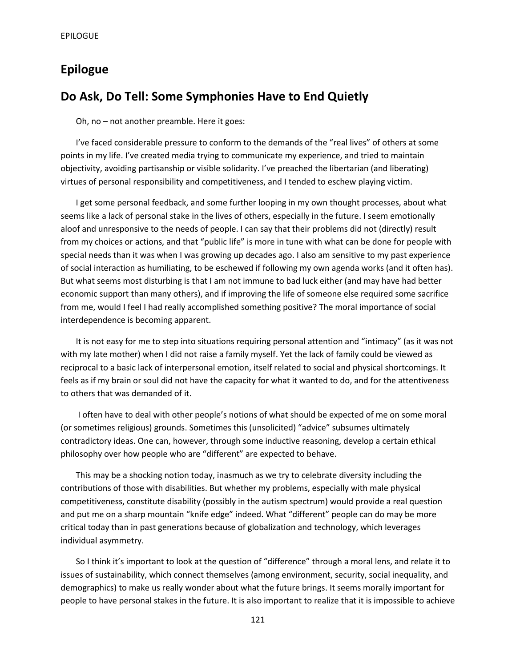# **Epilogue**

## **Do Ask, Do Tell: Some Symphonies Have to End Quietly**

Oh, no – not another preamble. Here it goes:

I've faced considerable pressure to conform to the demands of the "real lives" of others at some points in my life. I've created media trying to communicate my experience, and tried to maintain objectivity, avoiding partisanship or visible solidarity. I've preached the libertarian (and liberating) virtues of personal responsibility and competitiveness, and I tended to eschew playing victim.

I get some personal feedback, and some further looping in my own thought processes, about what seems like a lack of personal stake in the lives of others, especially in the future. I seem emotionally aloof and unresponsive to the needs of people. I can say that their problems did not (directly) result from my choices or actions, and that "public life" is more in tune with what can be done for people with special needs than it was when I was growing up decades ago. I also am sensitive to my past experience of social interaction as humiliating, to be eschewed if following my own agenda works (and it often has). But what seems most disturbing is that I am not immune to bad luck either (and may have had better economic support than many others), and if improving the life of someone else required some sacrifice from me, would I feel I had really accomplished something positive? The moral importance of social interdependence is becoming apparent.

It is not easy for me to step into situations requiring personal attention and "intimacy" (as it was not with my late mother) when I did not raise a family myself. Yet the lack of family could be viewed as reciprocal to a basic lack of interpersonal emotion, itself related to social and physical shortcomings. It feels as if my brain or soul did not have the capacity for what it wanted to do, and for the attentiveness to others that was demanded of it.

I often have to deal with other people's notions of what should be expected of me on some moral (or sometimes religious) grounds. Sometimes this (unsolicited) "advice" subsumes ultimately contradictory ideas. One can, however, through some inductive reasoning, develop a certain ethical philosophy over how people who are "different" are expected to behave.

This may be a shocking notion today, inasmuch as we try to celebrate diversity including the contributions of those with disabilities. But whether my problems, especially with male physical competitiveness, constitute disability (possibly in the autism spectrum) would provide a real question and put me on a sharp mountain "knife edge" indeed. What "different" people can do may be more critical today than in past generations because of globalization and technology, which leverages individual asymmetry.

So I think it's important to look at the question of "difference" through a moral lens, and relate it to issues of sustainability, which connect themselves (among environment, security, social inequality, and demographics) to make us really wonder about what the future brings. It seems morally important for people to have personal stakes in the future. It is also important to realize that it is impossible to achieve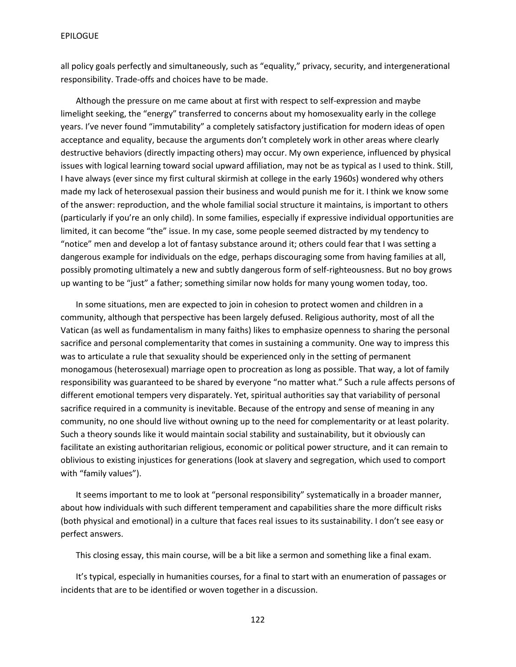all policy goals perfectly and simultaneously, such as "equality," privacy, security, and intergenerational responsibility. Trade-offs and choices have to be made.

Although the pressure on me came about at first with respect to self-expression and maybe limelight seeking, the "energy" transferred to concerns about my homosexuality early in the college years. I've never found "immutability" a completely satisfactory justification for modern ideas of open acceptance and equality, because the arguments don't completely work in other areas where clearly destructive behaviors (directly impacting others) may occur. My own experience, influenced by physical issues with logical learning toward social upward affiliation, may not be as typical as I used to think. Still, I have always (ever since my first cultural skirmish at college in the early 1960s) wondered why others made my lack of heterosexual passion their business and would punish me for it. I think we know some of the answer: reproduction, and the whole familial social structure it maintains, is important to others (particularly if you're an only child). In some families, especially if expressive individual opportunities are limited, it can become "the" issue. In my case, some people seemed distracted by my tendency to "notice" men and develop a lot of fantasy substance around it; others could fear that I was setting a dangerous example for individuals on the edge, perhaps discouraging some from having families at all, possibly promoting ultimately a new and subtly dangerous form of self-righteousness. But no boy grows up wanting to be "just" a father; something similar now holds for many young women today, too.

In some situations, men are expected to join in cohesion to protect women and children in a community, although that perspective has been largely defused. Religious authority, most of all the Vatican (as well as fundamentalism in many faiths) likes to emphasize openness to sharing the personal sacrifice and personal complementarity that comes in sustaining a community. One way to impress this was to articulate a rule that sexuality should be experienced only in the setting of permanent monogamous (heterosexual) marriage open to procreation as long as possible. That way, a lot of family responsibility was guaranteed to be shared by everyone "no matter what." Such a rule affects persons of different emotional tempers very disparately. Yet, spiritual authorities say that variability of personal sacrifice required in a community is inevitable. Because of the entropy and sense of meaning in any community, no one should live without owning up to the need for complementarity or at least polarity. Such a theory sounds like it would maintain social stability and sustainability, but it obviously can facilitate an existing authoritarian religious, economic or political power structure, and it can remain to oblivious to existing injustices for generations (look at slavery and segregation, which used to comport with "family values").

It seems important to me to look at "personal responsibility" systematically in a broader manner, about how individuals with such different temperament and capabilities share the more difficult risks (both physical and emotional) in a culture that faces real issues to its sustainability. I don't see easy or perfect answers.

This closing essay, this main course, will be a bit like a sermon and something like a final exam.

It's typical, especially in humanities courses, for a final to start with an enumeration of passages or incidents that are to be identified or woven together in a discussion.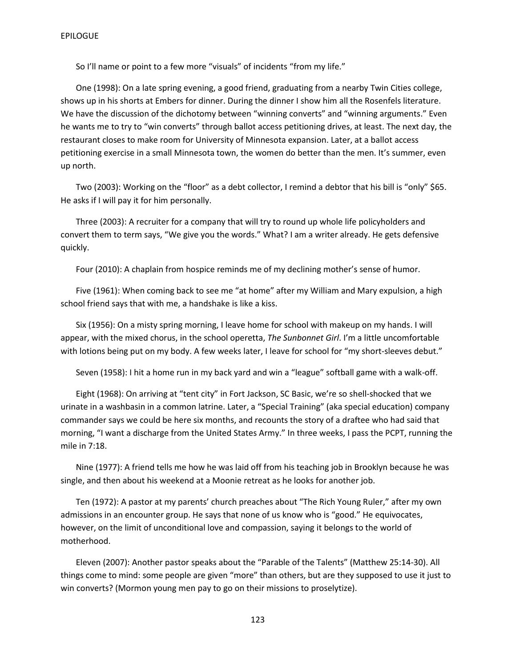So I'll name or point to a few more "visuals" of incidents "from my life."

One (1998): On a late spring evening, a good friend, graduating from a nearby Twin Cities college, shows up in his shorts at Embers for dinner. During the dinner I show him all the Rosenfels literature. We have the discussion of the dichotomy between "winning converts" and "winning arguments." Even he wants me to try to "win converts" through ballot access petitioning drives, at least. The next day, the restaurant closes to make room for University of Minnesota expansion. Later, at a ballot access petitioning exercise in a small Minnesota town, the women do better than the men. It's summer, even up north.

Two (2003): Working on the "floor" as a debt collector, I remind a debtor that his bill is "only" \$65. He asks if I will pay it for him personally.

Three (2003): A recruiter for a company that will try to round up whole life policyholders and convert them to term says, "We give you the words." What? I am a writer already. He gets defensive quickly.

Four (2010): A chaplain from hospice reminds me of my declining mother's sense of humor.

Five (1961): When coming back to see me "at home" after my William and Mary expulsion, a high school friend says that with me, a handshake is like a kiss.

Six (1956): On a misty spring morning, I leave home for school with makeup on my hands. I will appear, with the mixed chorus, in the school operetta, *The Sunbonnet Girl*. I'm a little uncomfortable with lotions being put on my body. A few weeks later, I leave for school for "my short-sleeves debut."

Seven (1958): I hit a home run in my back yard and win a "league" softball game with a walk-off.

Eight (1968): On arriving at "tent city" in Fort Jackson, SC Basic, we're so shell-shocked that we urinate in a washbasin in a common latrine. Later, a "Special Training" (aka special education) company commander says we could be here six months, and recounts the story of a draftee who had said that morning, "I want a discharge from the United States Army." In three weeks, I pass the PCPT, running the mile in 7:18.

Nine (1977): A friend tells me how he was laid off from his teaching job in Brooklyn because he was single, and then about his weekend at a Moonie retreat as he looks for another job.

Ten (1972): A pastor at my parents' church preaches about "The Rich Young Ruler," after my own admissions in an encounter group. He says that none of us know who is "good." He equivocates, however, on the limit of unconditional love and compassion, saying it belongs to the world of motherhood.

Eleven (2007): Another pastor speaks about the "Parable of the Talents" (Matthew 25:14-30). All things come to mind: some people are given "more" than others, but are they supposed to use it just to win converts? (Mormon young men pay to go on their missions to proselytize).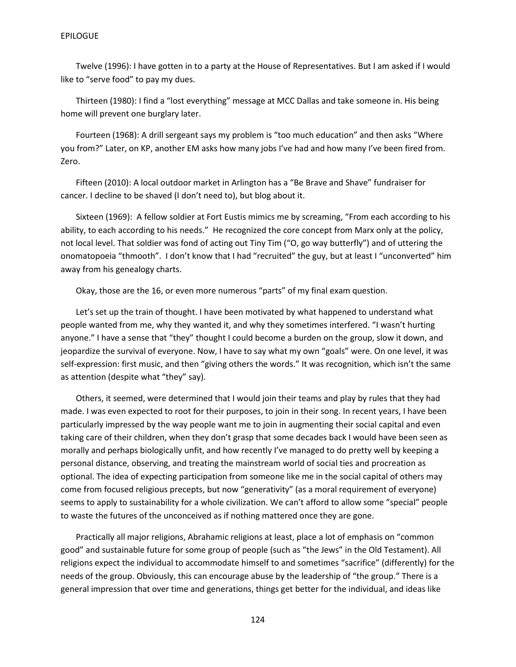Twelve (1996): I have gotten in to a party at the House of Representatives. But I am asked if I would like to "serve food" to pay my dues.

Thirteen (1980): I find a "lost everything" message at MCC Dallas and take someone in. His being home will prevent one burglary later.

Fourteen (1968): A drill sergeant says my problem is "too much education" and then asks "Where you from?" Later, on KP, another EM asks how many jobs I've had and how many I've been fired from. Zero.

Fifteen (2010): A local outdoor market in Arlington has a "Be Brave and Shave" fundraiser for cancer. I decline to be shaved (I don't need to), but blog about it.

Sixteen (1969): A fellow soldier at Fort Eustis mimics me by screaming, "From each according to his ability, to each according to his needs." He recognized the core concept from Marx only at the policy, not local level. That soldier was fond of acting out Tiny Tim ("O, go way butterfly") and of uttering the onomatopoeia "thmooth". I don't know that I had "recruited" the guy, but at least I "unconverted" him away from his genealogy charts.

Okay, those are the 16, or even more numerous "parts" of my final exam question.

Let's set up the train of thought. I have been motivated by what happened to understand what people wanted from me, why they wanted it, and why they sometimes interfered. "I wasn't hurting anyone." I have a sense that "they" thought I could become a burden on the group, slow it down, and jeopardize the survival of everyone. Now, I have to say what my own "goals" were. On one level, it was self-expression: first music, and then "giving others the words." It was recognition, which isn't the same as attention (despite what "they" say).

Others, it seemed, were determined that I would join their teams and play by rules that they had made. I was even expected to root for their purposes, to join in their song. In recent years, I have been particularly impressed by the way people want me to join in augmenting their social capital and even taking care of their children, when they don't grasp that some decades back I would have been seen as morally and perhaps biologically unfit, and how recently I've managed to do pretty well by keeping a personal distance, observing, and treating the mainstream world of social ties and procreation as optional. The idea of expecting participation from someone like me in the social capital of others may come from focused religious precepts, but now "generativity" (as a moral requirement of everyone) seems to apply to sustainability for a whole civilization. We can't afford to allow some "special" people to waste the futures of the unconceived as if nothing mattered once they are gone.

Practically all major religions, Abrahamic religions at least, place a lot of emphasis on "common good" and sustainable future for some group of people (such as "the Jews" in the Old Testament). All religions expect the individual to accommodate himself to and sometimes "sacrifice" (differently) for the needs of the group. Obviously, this can encourage abuse by the leadership of "the group." There is a general impression that over time and generations, things get better for the individual, and ideas like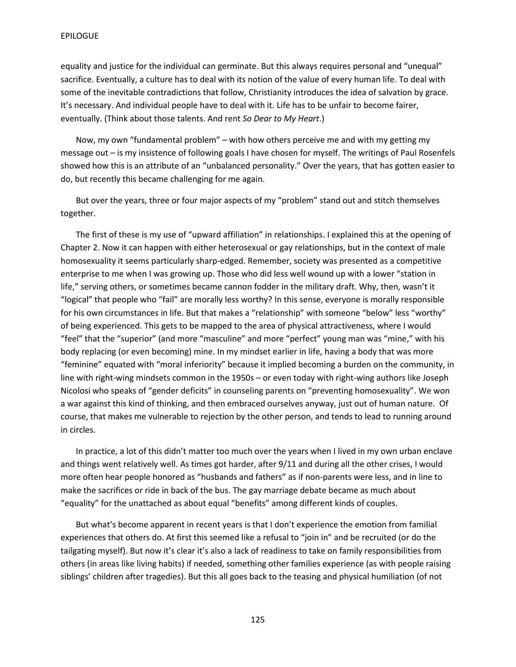equality and justice for the individual can germinate. But this always requires personal and "unequal" sacrifice. Eventually, a culture has to deal with its notion of the value of every human life. To deal with some of the inevitable contradictions that follow, Christianity introduces the idea of salvation by grace. It's necessary. And individual people have to deal with it. Life has to be unfair to become fairer, eventually. (Think about those talents. And rent *So Dear to My Heart*.)

Now, my own "fundamental problem" – with how others perceive me and with my getting my message out – is my insistence of following goals I have chosen for myself. The writings of Paul Rosenfels showed how this is an attribute of an "unbalanced personality." Over the years, that has gotten easier to do, but recently this became challenging for me again.

But over the years, three or four major aspects of my "problem" stand out and stitch themselves together.

The first of these is my use of "upward affiliation" in relationships. I explained this at the opening of Chapter 2. Now it can happen with either heterosexual or gay relationships, but in the context of male homosexuality it seems particularly sharp-edged. Remember, society was presented as a competitive enterprise to me when I was growing up. Those who did less well wound up with a lower "station in life," serving others, or sometimes became cannon fodder in the military draft. Why, then, wasn't it "logical" that people who "fail" are morally less worthy? In this sense, everyone is morally responsible for his own circumstances in life. But that makes a "relationship" with someone "below" less "worthy" of being experienced. This gets to be mapped to the area of physical attractiveness, where I would "feel" that the "superior" (and more "masculine" and more "perfect" young man was "mine," with his body replacing (or even becoming) mine. In my mindset earlier in life, having a body that was more "feminine" equated with "moral inferiority" because it implied becoming a burden on the community, in line with right-wing mindsets common in the 1950s – or even today with right-wing authors like Joseph Nicolosi who speaks of "gender deficits" in counseling parents on "preventing homosexuality". We won a war against this kind of thinking, and then embraced ourselves anyway, just out of human nature. Of course, that makes me vulnerable to rejection by the other person, and tends to lead to running around in circles.

In practice, a lot of this didn't matter too much over the years when I lived in my own urban enclave and things went relatively well. As times got harder, after 9/11 and during all the other crises, I would more often hear people honored as "husbands and fathers" as if non-parents were less, and in line to make the sacrifices or ride in back of the bus. The gay marriage debate became as much about "equality" for the unattached as about equal "benefits" among different kinds of couples.

But what's become apparent in recent years is that I don't experience the emotion from familial experiences that others do. At first this seemed like a refusal to "join in" and be recruited (or do the tailgating myself). But now it's clear it's also a lack of readiness to take on family responsibilities from others (in areas like living habits) if needed, something other families experience (as with people raising siblings' children after tragedies). But this all goes back to the teasing and physical humiliation (of not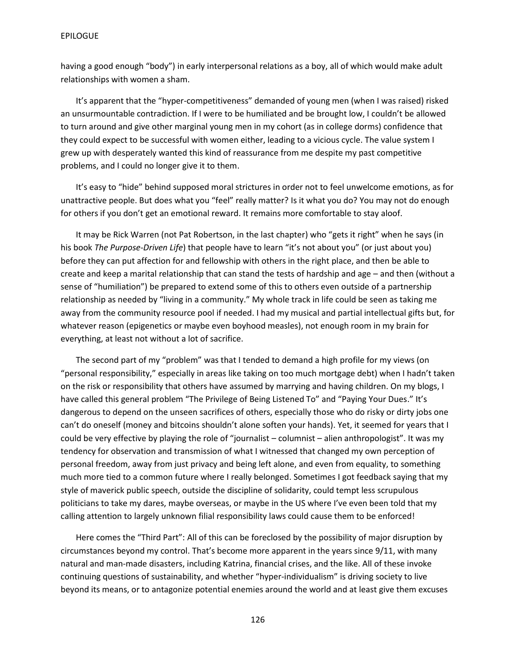having a good enough "body") in early interpersonal relations as a boy, all of which would make adult relationships with women a sham.

It's apparent that the "hyper-competitiveness" demanded of young men (when I was raised) risked an unsurmountable contradiction. If I were to be humiliated and be brought low, I couldn't be allowed to turn around and give other marginal young men in my cohort (as in college dorms) confidence that they could expect to be successful with women either, leading to a vicious cycle. The value system I grew up with desperately wanted this kind of reassurance from me despite my past competitive problems, and I could no longer give it to them.

It's easy to "hide" behind supposed moral strictures in order not to feel unwelcome emotions, as for unattractive people. But does what you "feel" really matter? Is it what you do? You may not do enough for others if you don't get an emotional reward. It remains more comfortable to stay aloof.

It may be Rick Warren (not Pat Robertson, in the last chapter) who "gets it right" when he says (in his book *The Purpose-Driven Life*) that people have to learn "it's not about you" (or just about you) before they can put affection for and fellowship with others in the right place, and then be able to create and keep a marital relationship that can stand the tests of hardship and age – and then (without a sense of "humiliation") be prepared to extend some of this to others even outside of a partnership relationship as needed by "living in a community." My whole track in life could be seen as taking me away from the community resource pool if needed. I had my musical and partial intellectual gifts but, for whatever reason (epigenetics or maybe even boyhood measles), not enough room in my brain for everything, at least not without a lot of sacrifice.

The second part of my "problem" was that I tended to demand a high profile for my views (on "personal responsibility," especially in areas like taking on too much mortgage debt) when I hadn't taken on the risk or responsibility that others have assumed by marrying and having children. On my blogs, I have called this general problem "The Privilege of Being Listened To" and "Paying Your Dues." It's dangerous to depend on the unseen sacrifices of others, especially those who do risky or dirty jobs one can't do oneself (money and bitcoins shouldn't alone soften your hands). Yet, it seemed for years that I could be very effective by playing the role of "journalist – columnist – alien anthropologist". It was my tendency for observation and transmission of what I witnessed that changed my own perception of personal freedom, away from just privacy and being left alone, and even from equality, to something much more tied to a common future where I really belonged. Sometimes I got feedback saying that my style of maverick public speech, outside the discipline of solidarity, could tempt less scrupulous politicians to take my dares, maybe overseas, or maybe in the US where I've even been told that my calling attention to largely unknown filial responsibility laws could cause them to be enforced!

Here comes the "Third Part": All of this can be foreclosed by the possibility of major disruption by circumstances beyond my control. That's become more apparent in the years since 9/11, with many natural and man-made disasters, including Katrina, financial crises, and the like. All of these invoke continuing questions of sustainability, and whether "hyper-individualism" is driving society to live beyond its means, or to antagonize potential enemies around the world and at least give them excuses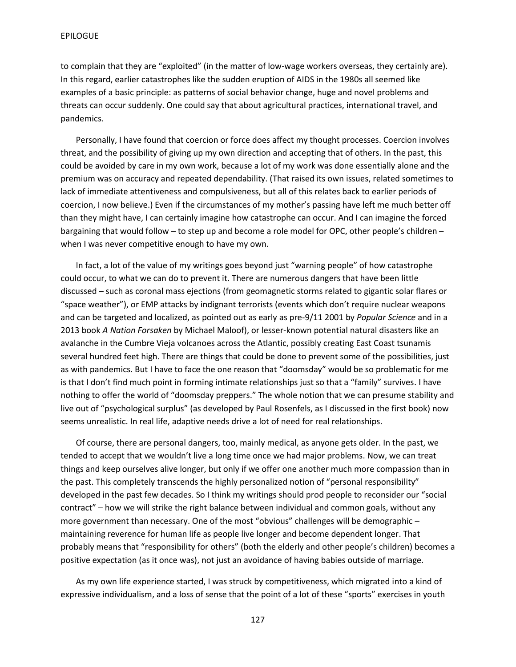to complain that they are "exploited" (in the matter of low-wage workers overseas, they certainly are). In this regard, earlier catastrophes like the sudden eruption of AIDS in the 1980s all seemed like examples of a basic principle: as patterns of social behavior change, huge and novel problems and threats can occur suddenly. One could say that about agricultural practices, international travel, and pandemics.

Personally, I have found that coercion or force does affect my thought processes. Coercion involves threat, and the possibility of giving up my own direction and accepting that of others. In the past, this could be avoided by care in my own work, because a lot of my work was done essentially alone and the premium was on accuracy and repeated dependability. (That raised its own issues, related sometimes to lack of immediate attentiveness and compulsiveness, but all of this relates back to earlier periods of coercion, I now believe.) Even if the circumstances of my mother's passing have left me much better off than they might have, I can certainly imagine how catastrophe can occur. And I can imagine the forced bargaining that would follow – to step up and become a role model for OPC, other people's children – when I was never competitive enough to have my own.

In fact, a lot of the value of my writings goes beyond just "warning people" of how catastrophe could occur, to what we can do to prevent it. There are numerous dangers that have been little discussed – such as coronal mass ejections (from geomagnetic storms related to gigantic solar flares or "space weather"), or EMP attacks by indignant terrorists (events which don't require nuclear weapons and can be targeted and localized, as pointed out as early as pre-9/11 2001 by *Popular Science* and in a 2013 book *A Nation Forsaken* by Michael Maloof), or lesser-known potential natural disasters like an avalanche in the Cumbre Vieja volcanoes across the Atlantic, possibly creating East Coast tsunamis several hundred feet high. There are things that could be done to prevent some of the possibilities, just as with pandemics. But I have to face the one reason that "doomsday" would be so problematic for me is that I don't find much point in forming intimate relationships just so that a "family" survives. I have nothing to offer the world of "doomsday preppers." The whole notion that we can presume stability and live out of "psychological surplus" (as developed by Paul Rosenfels, as I discussed in the first book) now seems unrealistic. In real life, adaptive needs drive a lot of need for real relationships.

Of course, there are personal dangers, too, mainly medical, as anyone gets older. In the past, we tended to accept that we wouldn't live a long time once we had major problems. Now, we can treat things and keep ourselves alive longer, but only if we offer one another much more compassion than in the past. This completely transcends the highly personalized notion of "personal responsibility" developed in the past few decades. So I think my writings should prod people to reconsider our "social contract" – how we will strike the right balance between individual and common goals, without any more government than necessary. One of the most "obvious" challenges will be demographic – maintaining reverence for human life as people live longer and become dependent longer. That probably means that "responsibility for others" (both the elderly and other people's children) becomes a positive expectation (as it once was), not just an avoidance of having babies outside of marriage.

As my own life experience started, I was struck by competitiveness, which migrated into a kind of expressive individualism, and a loss of sense that the point of a lot of these "sports" exercises in youth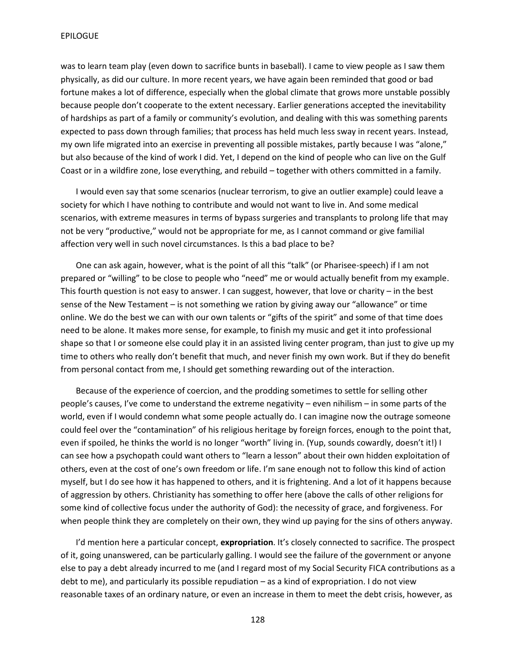was to learn team play (even down to sacrifice bunts in baseball). I came to view people as I saw them physically, as did our culture. In more recent years, we have again been reminded that good or bad fortune makes a lot of difference, especially when the global climate that grows more unstable possibly because people don't cooperate to the extent necessary. Earlier generations accepted the inevitability of hardships as part of a family or community's evolution, and dealing with this was something parents expected to pass down through families; that process has held much less sway in recent years. Instead, my own life migrated into an exercise in preventing all possible mistakes, partly because I was "alone," but also because of the kind of work I did. Yet, I depend on the kind of people who can live on the Gulf Coast or in a wildfire zone, lose everything, and rebuild – together with others committed in a family.

I would even say that some scenarios (nuclear terrorism, to give an outlier example) could leave a society for which I have nothing to contribute and would not want to live in. And some medical scenarios, with extreme measures in terms of bypass surgeries and transplants to prolong life that may not be very "productive," would not be appropriate for me, as I cannot command or give familial affection very well in such novel circumstances. Is this a bad place to be?

One can ask again, however, what is the point of all this "talk" (or Pharisee-speech) if I am not prepared or "willing" to be close to people who "need" me or would actually benefit from my example. This fourth question is not easy to answer. I can suggest, however, that love or charity  $-$  in the best sense of the New Testament – is not something we ration by giving away our "allowance" or time online. We do the best we can with our own talents or "gifts of the spirit" and some of that time does need to be alone. It makes more sense, for example, to finish my music and get it into professional shape so that I or someone else could play it in an assisted living center program, than just to give up my time to others who really don't benefit that much, and never finish my own work. But if they do benefit from personal contact from me, I should get something rewarding out of the interaction.

Because of the experience of coercion, and the prodding sometimes to settle for selling other people's causes, I've come to understand the extreme negativity – even nihilism – in some parts of the world, even if I would condemn what some people actually do. I can imagine now the outrage someone could feel over the "contamination" of his religious heritage by foreign forces, enough to the point that, even if spoiled, he thinks the world is no longer "worth" living in. (Yup, sounds cowardly, doesn't it!) I can see how a psychopath could want others to "learn a lesson" about their own hidden exploitation of others, even at the cost of one's own freedom or life. I'm sane enough not to follow this kind of action myself, but I do see how it has happened to others, and it is frightening. And a lot of it happens because of aggression by others. Christianity has something to offer here (above the calls of other religions for some kind of collective focus under the authority of God): the necessity of grace, and forgiveness. For when people think they are completely on their own, they wind up paying for the sins of others anyway.

I'd mention here a particular concept, **expropriation**. It's closely connected to sacrifice. The prospect of it, going unanswered, can be particularly galling. I would see the failure of the government or anyone else to pay a debt already incurred to me (and I regard most of my Social Security FICA contributions as a debt to me), and particularly its possible repudiation – as a kind of expropriation. I do not view reasonable taxes of an ordinary nature, or even an increase in them to meet the debt crisis, however, as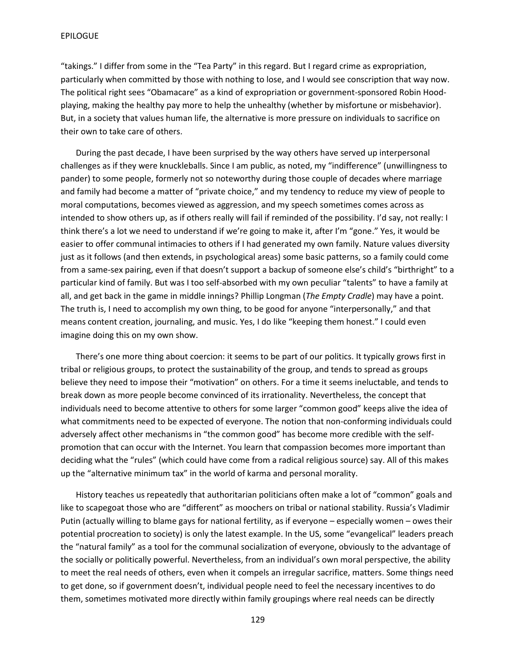"takings." I differ from some in the "Tea Party" in this regard. But I regard crime as expropriation, particularly when committed by those with nothing to lose, and I would see conscription that way now. The political right sees "Obamacare" as a kind of expropriation or government-sponsored Robin Hoodplaying, making the healthy pay more to help the unhealthy (whether by misfortune or misbehavior). But, in a society that values human life, the alternative is more pressure on individuals to sacrifice on their own to take care of others.

During the past decade, I have been surprised by the way others have served up interpersonal challenges as if they were knuckleballs. Since I am public, as noted, my "indifference" (unwillingness to pander) to some people, formerly not so noteworthy during those couple of decades where marriage and family had become a matter of "private choice," and my tendency to reduce my view of people to moral computations, becomes viewed as aggression, and my speech sometimes comes across as intended to show others up, as if others really will fail if reminded of the possibility. I'd say, not really: I think there's a lot we need to understand if we're going to make it, after I'm "gone." Yes, it would be easier to offer communal intimacies to others if I had generated my own family. Nature values diversity just as it follows (and then extends, in psychological areas) some basic patterns, so a family could come from a same-sex pairing, even if that doesn't support a backup of someone else's child's "birthright" to a particular kind of family. But was I too self-absorbed with my own peculiar "talents" to have a family at all, and get back in the game in middle innings? Phillip Longman (*The Empty Cradle*) may have a point. The truth is, I need to accomplish my own thing, to be good for anyone "interpersonally," and that means content creation, journaling, and music. Yes, I do like "keeping them honest." I could even imagine doing this on my own show.

There's one more thing about coercion: it seems to be part of our politics. It typically grows first in tribal or religious groups, to protect the sustainability of the group, and tends to spread as groups believe they need to impose their "motivation" on others. For a time it seems ineluctable, and tends to break down as more people become convinced of its irrationality. Nevertheless, the concept that individuals need to become attentive to others for some larger "common good" keeps alive the idea of what commitments need to be expected of everyone. The notion that non-conforming individuals could adversely affect other mechanisms in "the common good" has become more credible with the selfpromotion that can occur with the Internet. You learn that compassion becomes more important than deciding what the "rules" (which could have come from a radical religious source) say. All of this makes up the "alternative minimum tax" in the world of karma and personal morality.

History teaches us repeatedly that authoritarian politicians often make a lot of "common" goals and like to scapegoat those who are "different" as moochers on tribal or national stability. Russia's Vladimir Putin (actually willing to blame gays for national fertility, as if everyone – especially women – owes their potential procreation to society) is only the latest example. In the US, some "evangelical" leaders preach the "natural family" as a tool for the communal socialization of everyone, obviously to the advantage of the socially or politically powerful. Nevertheless, from an individual's own moral perspective, the ability to meet the real needs of others, even when it compels an irregular sacrifice, matters. Some things need to get done, so if government doesn't, individual people need to feel the necessary incentives to do them, sometimes motivated more directly within family groupings where real needs can be directly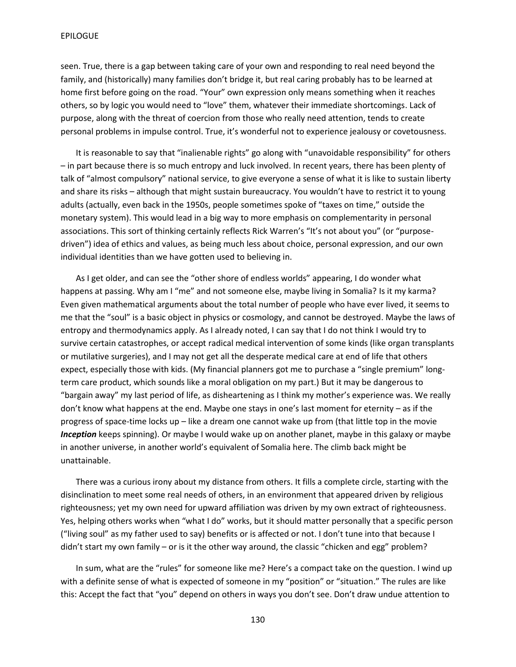seen. True, there is a gap between taking care of your own and responding to real need beyond the family, and (historically) many families don't bridge it, but real caring probably has to be learned at home first before going on the road. "Your" own expression only means something when it reaches others, so by logic you would need to "love" them, whatever their immediate shortcomings. Lack of purpose, along with the threat of coercion from those who really need attention, tends to create personal problems in impulse control. True, it's wonderful not to experience jealousy or covetousness.

It is reasonable to say that "inalienable rights" go along with "unavoidable responsibility" for others – in part because there is so much entropy and luck involved. In recent years, there has been plenty of talk of "almost compulsory" national service, to give everyone a sense of what it is like to sustain liberty and share its risks – although that might sustain bureaucracy. You wouldn't have to restrict it to young adults (actually, even back in the 1950s, people sometimes spoke of "taxes on time," outside the monetary system). This would lead in a big way to more emphasis on complementarity in personal associations. This sort of thinking certainly reflects Rick Warren's "It's not about you" (or "purposedriven") idea of ethics and values, as being much less about choice, personal expression, and our own individual identities than we have gotten used to believing in.

As I get older, and can see the "other shore of endless worlds" appearing, I do wonder what happens at passing. Why am I "me" and not someone else, maybe living in Somalia? Is it my karma? Even given mathematical arguments about the total number of people who have ever lived, it seems to me that the "soul" is a basic object in physics or cosmology, and cannot be destroyed. Maybe the laws of entropy and thermodynamics apply. As I already noted, I can say that I do not think I would try to survive certain catastrophes, or accept radical medical intervention of some kinds (like organ transplants or mutilative surgeries), and I may not get all the desperate medical care at end of life that others expect, especially those with kids. (My financial planners got me to purchase a "single premium" longterm care product, which sounds like a moral obligation on my part.) But it may be dangerous to "bargain away" my last period of life, as disheartening as I think my mother's experience was. We really don't know what happens at the end. Maybe one stays in one's last moment for eternity – as if the progress of space-time locks up – like a dream one cannot wake up from (that little top in the movie *Inception* keeps spinning). Or maybe I would wake up on another planet, maybe in this galaxy or maybe in another universe, in another world's equivalent of Somalia here. The climb back might be unattainable.

There was a curious irony about my distance from others. It fills a complete circle, starting with the disinclination to meet some real needs of others, in an environment that appeared driven by religious righteousness; yet my own need for upward affiliation was driven by my own extract of righteousness. Yes, helping others works when "what I do" works, but it should matter personally that a specific person ("living soul" as my father used to say) benefits or is affected or not. I don't tune into that because I didn't start my own family – or is it the other way around, the classic "chicken and egg" problem?

In sum, what are the "rules" for someone like me? Here's a compact take on the question. I wind up with a definite sense of what is expected of someone in my "position" or "situation." The rules are like this: Accept the fact that "you" depend on others in ways you don't see. Don't draw undue attention to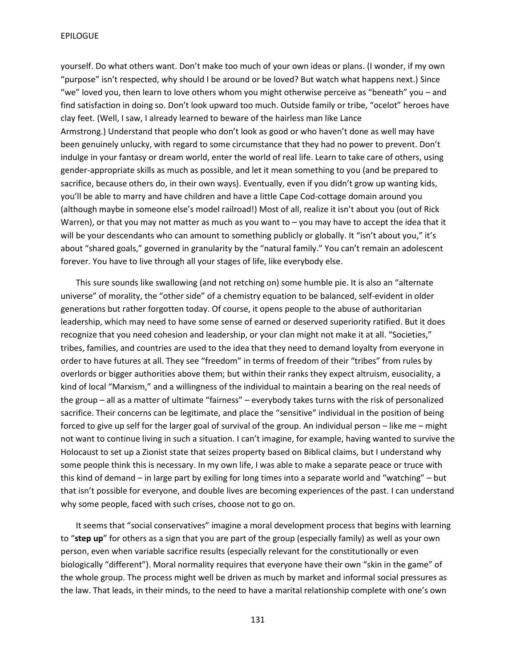yourself. Do what others want. Don't make too much of your own ideas or plans. (I wonder, if my own "purpose" isn't respected, why should I be around or be loved? But watch what happens next.) Since "we" loved you, then learn to love others whom you might otherwise perceive as "beneath" you – and find satisfaction in doing so. Don't look upward too much. Outside family or tribe, "ocelot" heroes have clay feet. (Well, I saw, I already learned to beware of the hairless man like Lance Armstrong.) Understand that people who don't look as good or who haven't done as well may have been genuinely unlucky, with regard to some circumstance that they had no power to prevent. Don't indulge in your fantasy or dream world, enter the world of real life. Learn to take care of others, using gender-appropriate skills as much as possible, and let it mean something to you (and be prepared to sacrifice, because others do, in their own ways). Eventually, even if you didn't grow up wanting kids, you'll be able to marry and have children and have a little Cape Cod-cottage domain around you (although maybe in someone else's model railroad!) Most of all, realize it isn't about you (out of Rick Warren), or that you may not matter as much as you want to – you may have to accept the idea that it will be your descendants who can amount to something publicly or globally. It "isn't about you," it's about "shared goals," governed in granularity by the "natural family." You can't remain an adolescent forever. You have to live through all your stages of life, like everybody else.

This sure sounds like swallowing (and not retching on) some humble pie. It is also an "alternate universe" of morality, the "other side" of a chemistry equation to be balanced, self-evident in older generations but rather forgotten today. Of course, it opens people to the abuse of authoritarian leadership, which may need to have some sense of earned or deserved superiority ratified. But it does recognize that you need cohesion and leadership, or your clan might not make it at all. "Societies," tribes, families, and countries are used to the idea that they need to demand loyalty from everyone in order to have futures at all. They see "freedom" in terms of freedom of their "tribes" from rules by overlords or bigger authorities above them; but within their ranks they expect altruism, eusociality, a kind of local "Marxism," and a willingness of the individual to maintain a bearing on the real needs of the group – all as a matter of ultimate "fairness" – everybody takes turns with the risk of personalized sacrifice. Their concerns can be legitimate, and place the "sensitive" individual in the position of being forced to give up self for the larger goal of survival of the group. An individual person – like me – might not want to continue living in such a situation. I can't imagine, for example, having wanted to survive the Holocaust to set up a Zionist state that seizes property based on Biblical claims, but I understand why some people think this is necessary. In my own life, I was able to make a separate peace or truce with this kind of demand – in large part by exiling for long times into a separate world and "watching" – but that isn't possible for everyone, and double lives are becoming experiences of the past. I can understand why some people, faced with such crises, choose not to go on.

It seems that "social conservatives" imagine a moral development process that begins with learning to "**step up**" for others as a sign that you are part of the group (especially family) as well as your own person, even when variable sacrifice results (especially relevant for the constitutionally or even biologically "different"). Moral normality requires that everyone have their own "skin in the game" of the whole group. The process might well be driven as much by market and informal social pressures as the law. That leads, in their minds, to the need to have a marital relationship complete with one's own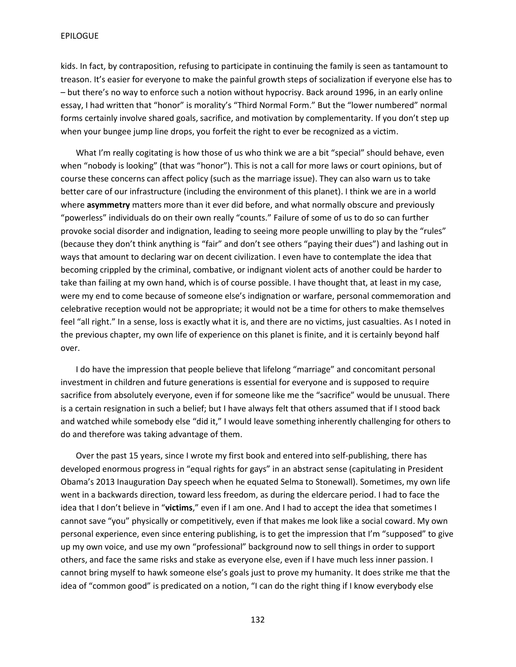kids. In fact, by contraposition, refusing to participate in continuing the family is seen as tantamount to treason. It's easier for everyone to make the painful growth steps of socialization if everyone else has to – but there's no way to enforce such a notion without hypocrisy. Back around 1996, in an early online essay, I had written that "honor" is morality's "Third Normal Form." But the "lower numbered" normal forms certainly involve shared goals, sacrifice, and motivation by complementarity. If you don't step up when your bungee jump line drops, you forfeit the right to ever be recognized as a victim.

What I'm really cogitating is how those of us who think we are a bit "special" should behave, even when "nobody is looking" (that was "honor"). This is not a call for more laws or court opinions, but of course these concerns can affect policy (such as the marriage issue). They can also warn us to take better care of our infrastructure (including the environment of this planet). I think we are in a world where **asymmetry** matters more than it ever did before, and what normally obscure and previously "powerless" individuals do on their own really "counts." Failure of some of us to do so can further provoke social disorder and indignation, leading to seeing more people unwilling to play by the "rules" (because they don't think anything is "fair" and don't see others "paying their dues") and lashing out in ways that amount to declaring war on decent civilization. I even have to contemplate the idea that becoming crippled by the criminal, combative, or indignant violent acts of another could be harder to take than failing at my own hand, which is of course possible. I have thought that, at least in my case, were my end to come because of someone else's indignation or warfare, personal commemoration and celebrative reception would not be appropriate; it would not be a time for others to make themselves feel "all right." In a sense, loss is exactly what it is, and there are no victims, just casualties. As I noted in the previous chapter, my own life of experience on this planet is finite, and it is certainly beyond half over.

I do have the impression that people believe that lifelong "marriage" and concomitant personal investment in children and future generations is essential for everyone and is supposed to require sacrifice from absolutely everyone, even if for someone like me the "sacrifice" would be unusual. There is a certain resignation in such a belief; but I have always felt that others assumed that if I stood back and watched while somebody else "did it," I would leave something inherently challenging for others to do and therefore was taking advantage of them.

Over the past 15 years, since I wrote my first book and entered into self-publishing, there has developed enormous progress in "equal rights for gays" in an abstract sense (capitulating in President Obama's 2013 Inauguration Day speech when he equated Selma to Stonewall). Sometimes, my own life went in a backwards direction, toward less freedom, as during the eldercare period. I had to face the idea that I don't believe in "**victims**," even if I am one. And I had to accept the idea that sometimes I cannot save "you" physically or competitively, even if that makes me look like a social coward. My own personal experience, even since entering publishing, is to get the impression that I'm "supposed" to give up my own voice, and use my own "professional" background now to sell things in order to support others, and face the same risks and stake as everyone else, even if I have much less inner passion. I cannot bring myself to hawk someone else's goals just to prove my humanity. It does strike me that the idea of "common good" is predicated on a notion, "I can do the right thing if I know everybody else